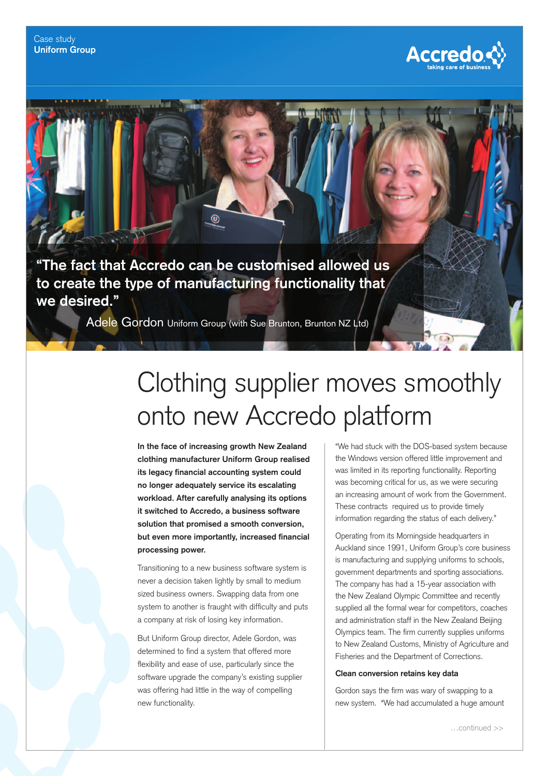

**"The fact that Accredo can be customised allowed us to create the type of manufacturing functionality that we desired."**

Adele Gordon Uniform Group (with Sue Brunton, Brunton NZ Ltd)

## Clothing supplier moves smoothly onto new Accredo platform

**In the face of increasing growth New Zealand clothing manufacturer Uniform Group realised**  its legacy financial accounting system could **no longer adequately service its escalating workload. After carefully analysing its options it switched to Accredo, a business software solution that promised a smooth conversion,**  but even more importantly, increased financial **processing power.**

Transitioning to a new business software system is never a decision taken lightly by small to medium sized business owners. Swapping data from one system to another is fraught with difficulty and puts a company at risk of losing key information.

But Uniform Group director, Adele Gordon, was determined to find a system that offered more flexibility and ease of use, particularly since the software upgrade the company's existing supplier was offering had little in the way of compelling new functionality.

"We had stuck with the DOS-based system because the Windows version offered little improvement and was limited in its reporting functionality. Reporting was becoming critical for us, as we were securing an increasing amount of work from the Government. These contracts required us to provide timely information regarding the status of each delivery."

Operating from its Morningside headquarters in Auckland since 1991, Uniform Group's core business is manufacturing and supplying uniforms to schools, government departments and sporting associations. The company has had a 15-year association with the New Zealand Olympic Committee and recently supplied all the formal wear for competitors, coaches and administration staff in the New Zealand Beijing Olympics team. The firm currently supplies uniforms to New Zealand Customs, Ministry of Agriculture and Fisheries and the Department of Corrections.

## **Clean conversion retains key data**

Gordon says the firm was wary of swapping to a new system. "We had accumulated a huge amount